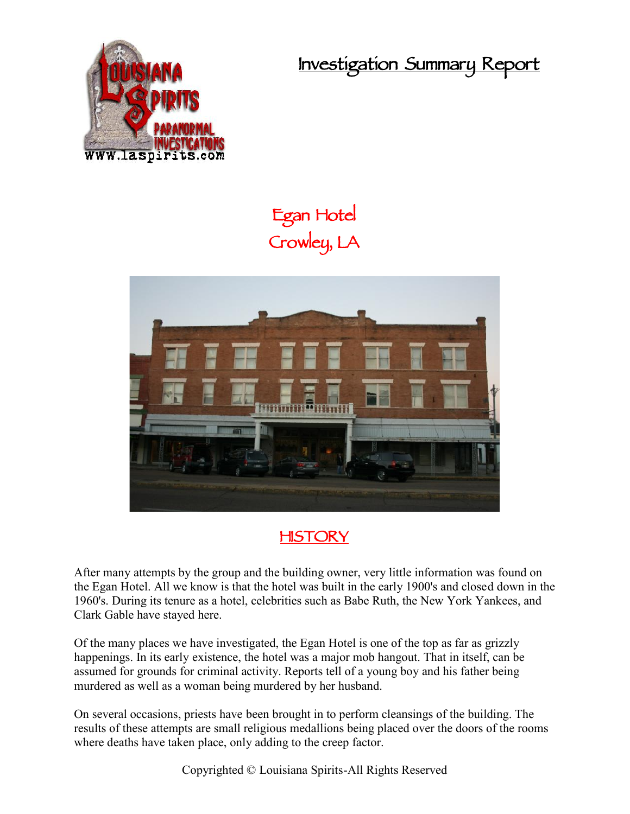**Investigation Summary Report**



## **Egan Hotel Crowley, LA**



## **HISTORY**

After many attempts by the group and the building owner, very little information was found on the Egan Hotel. All we know is that the hotel was built in the early 1900's and closed down in the 1960's. During its tenure as a hotel, celebrities such as Babe Ruth, the New York Yankees, and Clark Gable have stayed here.

Of the many places we have investigated, the Egan Hotel is one of the top as far as grizzly happenings. In its early existence, the hotel was a major mob hangout. That in itself, can be assumed for grounds for criminal activity. Reports tell of a young boy and his father being murdered as well as a woman being murdered by her husband.

On several occasions, priests have been brought in to perform cleansings of the building. The results of these attempts are small religious medallions being placed over the doors of the rooms where deaths have taken place, only adding to the creep factor.

Copyrighted © Louisiana Spirits-All Rights Reserved